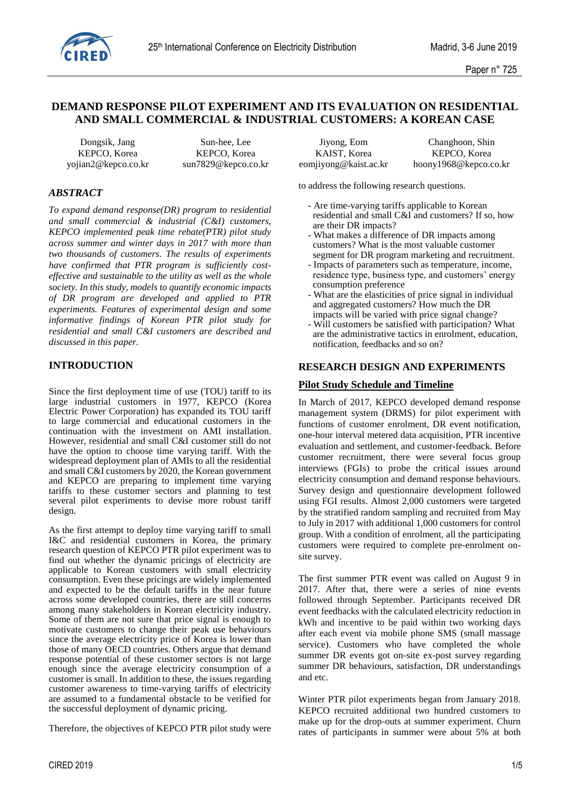

# **DEMAND RESPONSE PILOT EXPERIMENT AND ITS EVALUATION ON RESIDENTIAL AND SMALL COMMERCIAL & INDUSTRIAL CUSTOMERS: A KOREAN CASE**

Dongsik, Jang Sun-hee, Lee Jiyong, Eom Changhoon, Shin KEPCO, Korea KEPCO, Korea KAIST, Korea KEPCO, Korea

#### *ABSTRACT*

*To expand demand response(DR) program to residential and small commercial & industrial (C&I) customers, KEPCO implemented peak time rebate(PTR) pilot study across summer and winter days in 2017 with more than two thousands of customers. The results of experiments have confirmed that PTR program is sufficiently costeffective and sustainable to the utility as well as the whole society. In this study, models to quantify economic impacts of DR program are developed and applied to PTR experiments. Features of experimental design and some informative findings of Korean PTR pilot study for residential and small C&I customers are described and discussed in this paper.*

#### **INTRODUCTION**

Since the first deployment time of use (TOU) tariff to its large industrial customers in 1977, KEPCO (Korea Electric Power Corporation) has expanded its TOU tariff to large commercial and educational customers in the continuation with the investment on AMI installation. However, residential and small C&I customer still do not have the option to choose time varying tariff. With the widespread deployment plan of AMIs to all the residential and small C&I customers by 2020, the Korean government and KEPCO are preparing to implement time varying tariffs to these customer sectors and planning to test several pilot experiments to devise more robust tariff design.

As the first attempt to deploy time varying tariff to small I&C and residential customers in Korea, the primary research question of KEPCO PTR pilot experiment was to find out whether the dynamic pricings of electricity are applicable to Korean customers with small electricity consumption. Even these pricings are widely implemented and expected to be the default tariffs in the near future across some developed countries, there are still concerns among many stakeholders in Korean electricity industry. Some of them are not sure that price signal is enough to motivate customers to change their peak use behaviours since the average electricity price of Korea is lower than those of many OECD countries. Others argue that demand response potential of these customer sectors is not large enough since the average electricity consumption of a customer is small. In addition to these, the issues regarding customer awareness to time-varying tariffs of electricity are assumed to a fundamental obstacle to be verified for the successful deployment of dynamic pricing.

Therefore, the objectives of KEPCO PTR pilot study were

yojian2@kepco.co.kr sun7829@kepco.co.kr eomjiyong@kaist.ac.kr hoony1968@kepco.co.kr

to address the following research questions.

- Are time-varying tariffs applicable to Korean residential and small C&I and customers? If so, how are their DR impacts?
- What makes a difference of DR impacts among customers? What is the most valuable customer segment for DR program marketing and recruitment.
- Impacts of parameters such as temperature, income, residence type, business type, and customers' energy consumption preference
- What are the elasticities of price signal in individual and aggregated customers? How much the DR impacts will be varied with price signal change?
- Will customers be satisfied with participation? What are the administrative tactics in enrolment, education, notification, feedbacks and so on?

#### **RESEARCH DESIGN AND EXPERIMENTS**

#### **Pilot Study Schedule and Timeline**

In March of 2017, KEPCO developed demand response management system (DRMS) for pilot experiment with functions of customer enrolment, DR event notification, one-hour interval metered data acquisition, PTR incentive evaluation and settlement, and customer-feedback. Before customer recruitment, there were several focus group interviews (FGIs) to probe the critical issues around electricity consumption and demand response behaviours. Survey design and questionnaire development followed using FGI results. Almost 2,000 customers were targeted by the stratified random sampling and recruited from May to July in 2017 with additional 1,000 customers for control group. With a condition of enrolment, all the participating customers were required to complete pre-enrolment onsite survey.

The first summer PTR event was called on August 9 in 2017. After that, there were a series of nine events followed through September. Participants received DR event feedbacks with the calculated electricity reduction in kWh and incentive to be paid within two working days after each event via mobile phone SMS (small massage service). Customers who have completed the whole summer DR events got on-site ex-post survey regarding summer DR behaviours, satisfaction, DR understandings and etc.

Winter PTR pilot experiments began from January 2018. KEPCO recruited additional two hundred customers to make up for the drop-outs at summer experiment. Churn rates of participants in summer were about 5% at both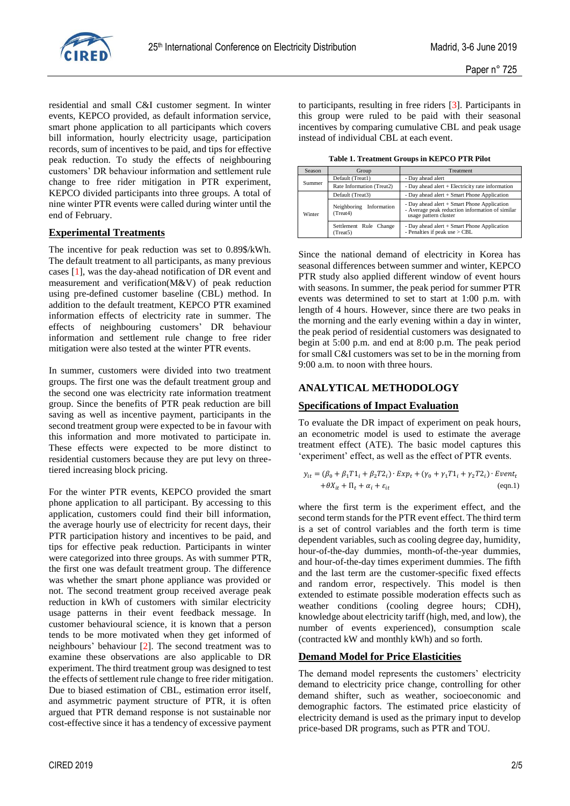

residential and small C&I customer segment. In winter events, KEPCO provided, as default information service, smart phone application to all participants which covers bill information, hourly electricity usage, participation records, sum of incentives to be paid, and tips for effective peak reduction. To study the effects of neighbouring customers' DR behaviour information and settlement rule change to free rider mitigation in PTR experiment, KEPCO divided participants into three groups. A total of nine winter PTR events were called during winter until the end of February.

# **Experimental Treatments**

The incentive for peak reduction was set to 0.89\$/kWh. The default treatment to all participants, as many previous cases [1], was the day-ahead notification of DR event and measurement and verification(M&V) of peak reduction using pre-defined customer baseline (CBL) method. In addition to the default treatment, KEPCO PTR examined information effects of electricity rate in summer. The effects of neighbouring customers' DR behaviour information and settlement rule change to free rider mitigation were also tested at the winter PTR events.

In summer, customers were divided into two treatment groups. The first one was the default treatment group and the second one was electricity rate information treatment group. Since the benefits of PTR peak reduction are bill saving as well as incentive payment, participants in the second treatment group were expected to be in favour with this information and more motivated to participate in. These effects were expected to be more distinct to residential customers because they are put levy on threetiered increasing block pricing.

For the winter PTR events, KEPCO provided the smart phone application to all participant. By accessing to this application, customers could find their bill information, the average hourly use of electricity for recent days, their PTR participation history and incentives to be paid, and tips for effective peak reduction. Participants in winter were categorized into three groups. As with summer PTR, the first one was default treatment group. The difference was whether the smart phone appliance was provided or not. The second treatment group received average peak reduction in kWh of customers with similar electricity usage patterns in their event feedback message. In customer behavioural science, it is known that a person tends to be more motivated when they get informed of neighbours' behaviour [2]. The second treatment was to examine these observations are also applicable to DR experiment. The third treatment group was designed to test the effects of settlement rule change to free rider mitigation. Due to biased estimation of CBL, estimation error itself, and asymmetric payment structure of PTR, it is often argued that PTR demand response is not sustainable nor cost-effective since it has a tendency of excessive payment

to participants, resulting in free riders [3]. Participants in this group were ruled to be paid with their seasonal incentives by comparing cumulative CBL and peak usage instead of individual CBL at each event.

**Table 1. Treatment Groups in KEPCO PTR Pilot**

| Season | Group                                  | Treatment                                                                                                               |  |  |  |  |  |
|--------|----------------------------------------|-------------------------------------------------------------------------------------------------------------------------|--|--|--|--|--|
| Summer | Default (Treat1)                       | - Day ahead alert                                                                                                       |  |  |  |  |  |
|        | Rate Information (Treat2)              | - Day ahead alert $+$ Electricity rate information                                                                      |  |  |  |  |  |
| Winter | Default (Treat3)                       | - Day ahead alert $+$ Smart Phone Application                                                                           |  |  |  |  |  |
|        | Information<br>Neighboring<br>(Treat4) | - Day ahead alert + Smart Phone Application<br>- Average peak reduction information of similar<br>usage pattern cluster |  |  |  |  |  |
|        | Settlement Rule Change<br>(Treat5)     | - Day ahead alert + Smart Phone Application<br>- Penalties if peak use > CBL                                            |  |  |  |  |  |

Since the national demand of electricity in Korea has seasonal differences between summer and winter, KEPCO PTR study also applied different window of event hours with seasons. In summer, the peak period for summer PTR events was determined to set to start at 1:00 p.m. with length of 4 hours. However, since there are two peaks in the morning and the early evening within a day in winter, the peak period of residential customers was designated to begin at 5:00 p.m. and end at 8:00 p.m. The peak period for small C&I customers was set to be in the morning from 9:00 a.m. to noon with three hours.

# **ANALYTICAL METHODOLOGY**

## **Specifications of Impact Evaluation**

To evaluate the DR impact of experiment on peak hours, an econometric model is used to estimate the average treatment effect (ATE). The basic model captures this 'experiment' effect, as well as the effect of PTR events.

$$
y_{it} = (\beta_0 + \beta_1 T1_i + \beta_2 T2_i) \cdot Exp_t + (\gamma_0 + \gamma_1 T1_i + \gamma_2 T2_i) \cdot Event_t
$$
  
+
$$
\theta X_{it} + \Pi_t + \alpha_i + \varepsilon_{it}
$$
 (eqn.1)

where the first term is the experiment effect, and the second term stands for the PTR event effect. The third term is a set of control variables and the forth term is time dependent variables, such as cooling degree day, humidity, hour-of-the-day dummies, month-of-the-year dummies, and hour-of-the-day times experiment dummies. The fifth and the last term are the customer-specific fixed effects and random error, respectively. This model is then extended to estimate possible moderation effects such as weather conditions (cooling degree hours; CDH), knowledge about electricity tariff (high, med, and low), the number of events experienced), consumption scale (contracted kW and monthly kWh) and so forth.

## **Demand Model for Price Elasticities**

The demand model represents the customers' electricity demand to electricity price change, controlling for other demand shifter, such as weather, socioeconomic and demographic factors. The estimated price elasticity of electricity demand is used as the primary input to develop price-based DR programs, such as PTR and TOU.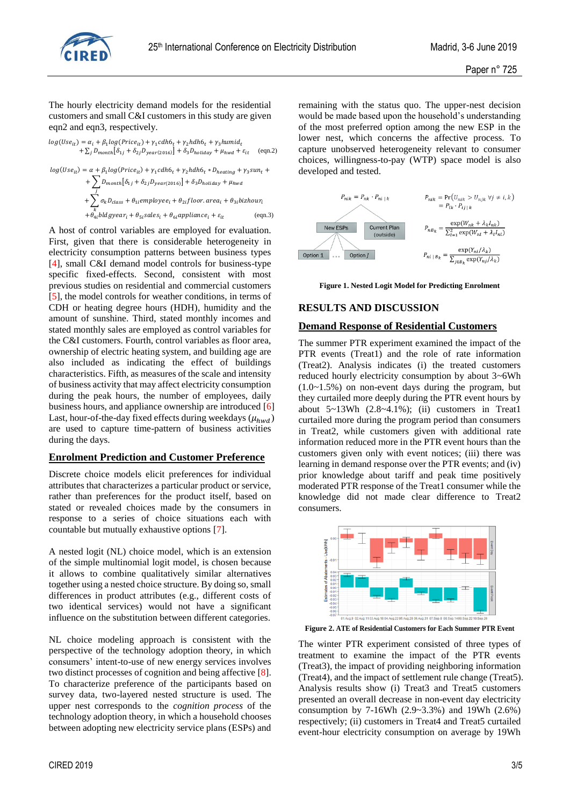

The hourly electricity demand models for the residential customers and small C&I customers in this study are given eqn2 and eqn3, respectively.

$$
\begin{aligned} log(Use_{it}) & = \alpha_i + \beta_1 log(Price_{it}) + \gamma_1 cdh6_t + \gamma_2 hdh6_t + \gamma_3 humid_t \\ & + \sum_j D_{month}[\delta_{1j} + \delta_{2j} D_{year(2016)}] + \delta_3 D_{holiday} + \mu_{hwd} + \varepsilon_{it} \end{aligned} \eqno{(eqn.2)}
$$

$$
log(Use_{it}) = \alpha + \beta_1 log(Price_{it}) + \gamma_1 cdh6_t + \gamma_2 hdh6_t * D_{heating} + \gamma_3 sun_t +
$$
  
+ 
$$
\sum_{j} D_{month}[\delta_{1j} + \delta_{2j} D_{year(2016)}] + \delta_3 D_{holiday} + \mu_{hwd}
$$
  
+ 
$$
\sum_{k} \sigma_k D_{class} + \theta_{1i} employee_i + \theta_{2i} floor. area_i + \theta_{3i} bizhour_i
$$
  
+ 
$$
\theta_{4i} bldgyear_i + \theta_{5i} sales_i + \theta_{6i} appliance_i + \varepsilon_{it}
$$
 (eqn.3)

A host of control variables are employed for evaluation. First, given that there is considerable heterogeneity in electricity consumption patterns between business types [4], small C&I demand model controls for business-type specific fixed-effects. Second, consistent with most previous studies on residential and commercial customers [5], the model controls for weather conditions, in terms of CDH or heating degree hours (HDH), humidity and the amount of sunshine. Third, stated monthly incomes and stated monthly sales are employed as control variables for the C&I customers. Fourth, control variables as floor area, ownership of electric heating system, and building age are also included as indicating the effect of buildings characteristics. Fifth, as measures of the scale and intensity of business activity that may affect electricity consumption during the peak hours, the number of employees, daily business hours, and appliance ownership are introduced [6] Last, hour-of-the-day fixed effects during weekdays ( $\mu_{hwd}$ ) are used to capture time-pattern of business activities during the days.

## **Enrolment Prediction and Customer Preference**

Discrete choice models elicit preferences for individual attributes that characterizes a particular product or service, rather than preferences for the product itself, based on stated or revealed choices made by the consumers in response to a series of choice situations each with countable but mutually exhaustive options [7].

A nested logit (NL) choice model, which is an extension of the simple multinomial logit model, is chosen because it allows to combine qualitatively similar alternatives together using a nested choice structure. By doing so, small differences in product attributes (e.g., different costs of two identical services) would not have a significant influence on the substitution between different categories.

NL choice modeling approach is consistent with the perspective of the technology adoption theory, in which consumers' intent-to-use of new energy services involves two distinct processes of cognition and being affective [8]. To characterize preference of the participants based on survey data, two-layered nested structure is used. The upper nest corresponds to the *cognition process* of the technology adoption theory, in which a household chooses between adopting new electricity service plans (ESPs) and

remaining with the status quo. The upper-nest decision would be made based upon the household's understanding of the most preferred option among the new ESP in the lower nest, which concerns the affective process. To capture unobserved heterogeneity relevant to consumer choices, willingness-to-pay (WTP) space model is also developed and tested.



**Figure 1. Nested Logit Model for Predicting Enrolment**

# **RESULTS AND DISCUSSION**

#### **Demand Response of Residential Customers**

The summer PTR experiment examined the impact of the PTR events (Treat1) and the role of rate information (Treat2). Analysis indicates (i) the treated customers reduced hourly electricity consumption by about 3~6Wh (1.0~1.5%) on non-event days during the program, but they curtailed more deeply during the PTR event hours by about 5~13Wh (2.8~4.1%); (ii) customers in Treat1 curtailed more during the program period than consumers in Treat2, while customers given with additional rate information reduced more in the PTR event hours than the customers given only with event notices; (iii) there was learning in demand response over the PTR events; and (iv) prior knowledge about tariff and peak time positively moderated PTR response of the Treat1 consumer while the knowledge did not made clear difference to Treat2 consumers.



**Figure 2. ATE of Residential Customers for Each Summer PTR Event**

The winter PTR experiment consisted of three types of treatment to examine the impact of the PTR events (Treat3), the impact of providing neighboring information (Treat4), and the impact of settlement rule change (Treat5). Analysis results show (i) Treat3 and Treat5 customers presented an overall decrease in non-event day electricity consumption by 7-16Wh (2.9~3.3%) and 19Wh (2.6%) respectively; (ii) customers in Treat4 and Treat5 curtailed event-hour electricity consumption on average by 19Wh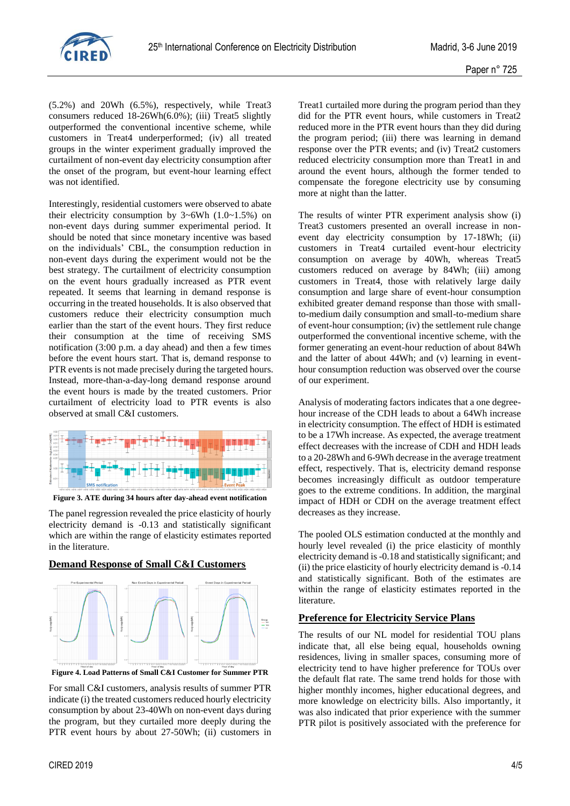

(5.2%) and 20Wh (6.5%), respectively, while Treat3 consumers reduced  $18-26Wh(6.0\%)$ ; (iii) Treat5 slightly outperformed the conventional incentive scheme, while customers in Treat4 underperformed; (iv) all treated groups in the winter experiment gradually improved the curtailment of non-event day electricity consumption after the onset of the program, but event-hour learning effect was not identified.

Interestingly, residential customers were observed to abate their electricity consumption by  $3~6Wh$  (1.0~1.5%) on non-event days during summer experimental period. It should be noted that since monetary incentive was based on the individuals' CBL, the consumption reduction in non-event days during the experiment would not be the best strategy. The curtailment of electricity consumption on the event hours gradually increased as PTR event repeated. It seems that learning in demand response is occurring in the treated households. It is also observed that customers reduce their electricity consumption much earlier than the start of the event hours. They first reduce their consumption at the time of receiving SMS notification (3:00 p.m. a day ahead) and then a few times before the event hours start. That is, demand response to PTR events is not made precisely during the targeted hours. Instead, more-than-a-day-long demand response around the event hours is made by the treated customers. Prior curtailment of electricity load to PTR events is also observed at small C&I customers.



**Figure 3. ATE during 34 hours after day-ahead event notification**

The panel regression revealed the price elasticity of hourly electricity demand is -0.13 and statistically significant which are within the range of elasticity estimates reported in the literature.

**Demand Response of Small C&I Customers**



**Figure 4. Load Patterns of Small C&I Customer for Summer PTR**

For small C&I customers, analysis results of summer PTR indicate (i) the treated customers reduced hourly electricity consumption by about 23-40Wh on non-event days during the program, but they curtailed more deeply during the PTR event hours by about 27-50Wh; (ii) customers in

Treat1 curtailed more during the program period than they did for the PTR event hours, while customers in Treat2 reduced more in the PTR event hours than they did during the program period; (iii) there was learning in demand response over the PTR events; and (iv) Treat2 customers reduced electricity consumption more than Treat1 in and around the event hours, although the former tended to compensate the foregone electricity use by consuming more at night than the latter.

The results of winter PTR experiment analysis show (i) Treat3 customers presented an overall increase in nonevent day electricity consumption by 17-18Wh; (ii) customers in Treat4 curtailed event-hour electricity consumption on average by 40Wh, whereas Treat5 customers reduced on average by 84Wh; (iii) among customers in Treat4, those with relatively large daily consumption and large share of event-hour consumption exhibited greater demand response than those with smallto-medium daily consumption and small-to-medium share of event-hour consumption; (iv) the settlement rule change outperformed the conventional incentive scheme, with the former generating an event-hour reduction of about 84Wh and the latter of about 44Wh; and (v) learning in eventhour consumption reduction was observed over the course of our experiment.

Analysis of moderating factors indicates that a one degreehour increase of the CDH leads to about a 64Wh increase in electricity consumption. The effect of HDH is estimated to be a 17Wh increase. As expected, the average treatment effect decreases with the increase of CDH and HDH leads to a 20-28Wh and 6-9Wh decrease in the average treatment effect, respectively. That is, electricity demand response becomes increasingly difficult as outdoor temperature goes to the extreme conditions. In addition, the marginal impact of HDH or CDH on the average treatment effect decreases as they increase.

The pooled OLS estimation conducted at the monthly and hourly level revealed (i) the price elasticity of monthly electricity demand is -0.18 and statistically significant; and (ii) the price elasticity of hourly electricity demand is -0.14 and statistically significant. Both of the estimates are within the range of elasticity estimates reported in the literature.

# **Preference for Electricity Service Plans**

The results of our NL model for residential TOU plans indicate that, all else being equal, households owning residences, living in smaller spaces, consuming more of electricity tend to have higher preference for TOUs over the default flat rate. The same trend holds for those with higher monthly incomes, higher educational degrees, and more knowledge on electricity bills. Also importantly, it was also indicated that prior experience with the summer PTR pilot is positively associated with the preference for